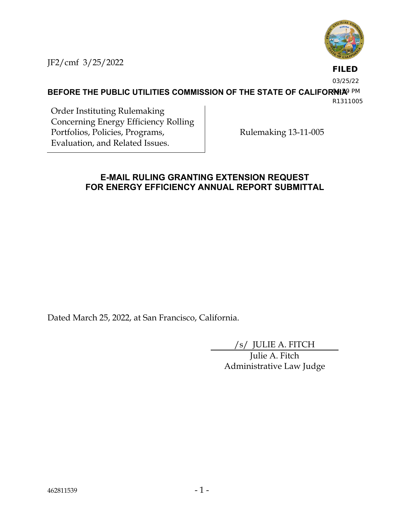

JF2/cmf 3/25/2022

**FILED**

03/25/22

**BEFORE THE PUBLIC UTILITIES COMMISSION OF THE STATE OF CALIFORNIA**9 PM

R1311005

Order Instituting Rulemaking Concerning Energy Efficiency Rolling Portfolios, Policies, Programs, Evaluation, and Related Issues.

Rulemaking 13-11-005

### **E-MAIL RULING GRANTING EXTENSION REQUEST FOR ENERGY EFFICIENCY ANNUAL REPORT SUBMITTAL**

Dated March 25, 2022, at San Francisco, California.

/s/ JULIE A. FITCH

Julie A. Fitch Administrative Law Judge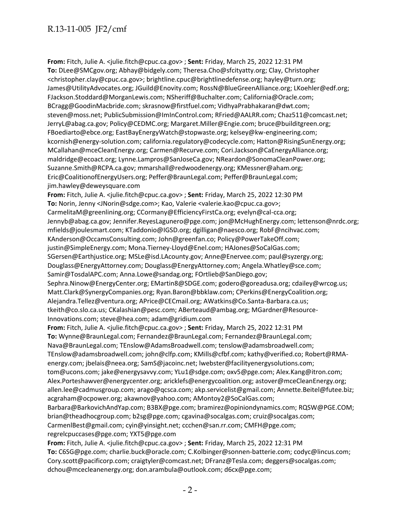**From:** Fitch, Julie A. <julie.fitch@cpuc.ca.gov> ; **Sent:** Friday, March 25, 2022 12:31 PM **To:** DLee@SMCgov.org; Abhay@bidgely.com; Theresa.Cho@sfcityatty.org; Clay, Christopher <christopher.clay@cpuc.ca.gov>; brightline.cpuc@brightlinedefense.org; hayley@turn.org; James@UtilityAdvocates.org; JGuild@Enovity.com; RossN@BlueGreenAlliance.org; LKoehler@edf.org; FJackson.Stoddard@MorganLewis.com; NSheriff@Buchalter.com; California@Oracle.com; BCragg@GoodinMacbride.com; skrasnow@firstfuel.com; VidhyaPrabhakaran@dwt.com; steven@moss.net; PublicSubmission@ImInControl.com; RFried@AALRR.com; Chaz511@comcast.net; JerryL@abag.ca.gov; Policy@CEDMC.org; Margaret.Miller@Engie.com; bruce@builditgreen.org; FBoediarto@ebce.org; EastBayEnergyWatch@stopwaste.org; kelsey@kw-engineering.com; kcornish@energy-solution.com; california.regulatory@codecycle.com; Hatton@RisingSunEnergy.org; MCallahan@mceCleanEnergy.org; Carmen@Recurve.com; Cori.Jackson@CaEnergyAlliance.org; maldridge@ecoact.org; Lynne.Lampros@SanJoseCa.gov; NReardon@SonomaCleanPower.org; Suzanne.Smith@RCPA.ca.gov; mmarshall@redwoodenergy.org; KMessner@aham.org; Eric@CoalitionofEnergyUsers.org; Peffer@BraunLegal.com; Peffer@BraunLegal.com; jim.hawley@deweysquare.com

**From:** Fitch, Julie A. <julie.fitch@cpuc.ca.gov> ; **Sent:** Friday, March 25, 2022 12:30 PM **To:** Norin, Jenny <JNorin@sdge.com>; Kao, Valerie <valerie.kao@cpuc.ca.gov>; CarmelitaM@greenlining.org; CCormany@EfficiencyFirstCa.org; evelyn@cal-cca.org; Jennyb@abag.ca.gov; Jennifer.ReyesLagunero@pge.com; jon@McHughEnergy.com; lettenson@nrdc.org; mfields@joulesmart.com; KTaddonio@IGSD.org; dgilligan@naesco.org; RobF@ncihvac.com; KAnderson@OccamsConsulting.com; John@greenfan.co; Policy@PowerTakeOff.com; justin@SimpleEnergy.com; Mona.Tierney-Lloyd@Enel.com; HAJones@SoCalGas.com; SGersen@Earthjustice.org; MSLe@isd.LAcounty.gov; Anne@Enervee.com; paul@syzergy.org; Douglass@EnergyAttorney.com; Douglass@EnergyAttorney.com; Angela.Whatley@sce.com; Samir@TosdalAPC.com; Anna.Lowe@sandag.org; FOrtlieb@SanDiego.gov; Sephra.Ninow@EnergyCenter.org; EMartin8@SDGE.com; godero@goreadusa.org; cdailey@wrcog.us; Matt.Clark@SynergyCompanies.org; Ryan.Baron@bbklaw.com; CPerkins@EnergyCoalition.org; Alejandra.Tellez@ventura.org; APrice@CECmail.org; AWatkins@Co.Santa-Barbara.ca.us; tkeith@co.slo.ca.us; CKalashian@pesc.com; ABerteaud@ambag.org; MGardner@Resource-Innovations.com; steve@hea.com; adam@gridium.com

**From:** Fitch, Julie A. <julie.fitch@cpuc.ca.gov> ; **Sent:** Friday, March 25, 2022 12:31 PM **To:** Wynne@BraunLegal.com; Fernandez@BraunLegal.com; Fernandez@BraunLegal.com; Nava@BraunLegal.com; TEnslow@AdamsBroadwell.com; tenslow@adamsbroadwell.com; TEnslow@adamsbroadwell.com; john@clfp.com; KMills@cfbf.com; kathy@verified.co; Robert@RMAenergy.com; jbelais@neea.org; SamS@jacoinc.net; lwebster@facilityenergysolutions.com; tom@ucons.com; jake@energysavvy.com; YLu1@sdge.com; oxv5@pge.com; Alex.Kang@itron.com; Alex.Porteshawver@energycenter.org; aricklefs@energycoalition.org; astover@mceCleanEnergy.org; allen.lee@cadmusgroup.com; arago@qcsca.com; akp.servicelist@gmail.com; Annette.Beitel@futee.biz; acgraham@ocpower.org; akawnov@yahoo.com; AMontoy2@SoCalGas.com; Barbara@BarkovichAndYap.com; B3BX@pge.com; bramirez@opiniondynamics.com; RQSW@PGE.COM; brian@theadhocgroup.com; b2sg@pge.com; cgavina@socalgas.com; cruiz@socalgas.com;

CarmenlBest@gmail.com; cyin@yinsight.net; ccchen@san.rr.com; CMFH@pge.com;

regrelcpuccases@pge.com; YXT5@pge.com

**From:** Fitch, Julie A. <julie.fitch@cpuc.ca.gov> ; **Sent:** Friday, March 25, 2022 12:31 PM **To:** C6SG@pge.com; charlie.buck@oracle.com; C.Kolbinger@sonnen-batterie.com; codyc@lincus.com; Cory.scott@pacificorp.com; craigtyler@comcast.net; DFranz@Tesla.com; deggers@socalgas.com; dchou@mcecleanenergy.org; don.arambula@outlook.com; d6cx@pge.com;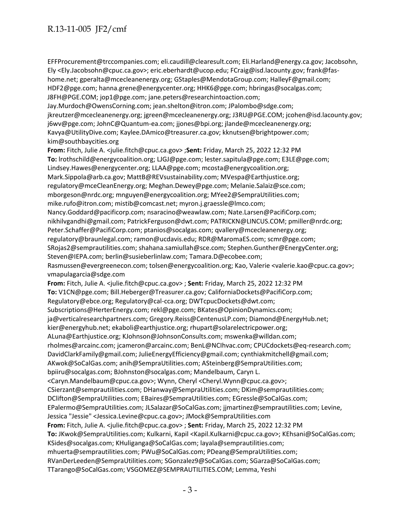EFFProcurement@trccompanies.com; eli.caudill@clearesult.com; Eli.Harland@energy.ca.gov; Jacobsohn, Ely <Ely.Jacobsohn@cpuc.ca.gov>; eric.eberhardt@ucop.edu; FCraig@isd.lacounty.gov; frank@fashome.net; gperalta@mcecleanenergy.org; GStaples@MendotaGroup.com; HalleyF@gmail.com; HDF2@pge.com; hanna.grene@energycenter.org; HHK6@pge.com; hbringas@socalgas.com; J8FH@PGE.COM; jop1@pge.com; jane.peters@researchintoaction.com; Jay.Murdoch@OwensCorning.com; jean.shelton@itron.com; JPalombo@sdge.com; jkreutzer@mcecleanenergy.org; jgreen@mcecleanenergy.org; J3RU@PGE.COM; jcohen@isd.lacounty.gov; j6wv@pge.com; JohnC@Quantum-ea.com; jjones@bpi.org; jlande@mcecleanenergy.org; Kavya@UtilityDive.com; Kaylee.DAmico@treasurer.ca.gov; kknutsen@brightpower.com; kim@southbaycities.org **From:** Fitch, Julie A. <julie.fitch@cpuc.ca.gov> ;**Sent:** Friday, March 25, 2022 12:32 PM **To:** lrothschild@energycoalition.org; LJGJ@pge.com; lester.sapitula@pge.com; E3LE@pge.com; Lindsey.Hawes@energycenter.org; LLAA@pge.com; mcosta@energycoalition.org; Mark.Sippola@arb.ca.gov; MattB@REVsustainability.com; MVespa@Earthjustice.org; regulatory@mceCleanEnergy.org; Meghan.Dewey@pge.com; Melanie.Salaiz@sce.com; mborgeson@nrdc.org; mnguyen@energycoalition.org; MYee2@SempraUtilities.com; mike.rufo@itron.com; mistib@comcast.net; myron.j.graessle@lmco.com; Nancy.Goddard@pacificorp.com; nsaracino@weawlaw.com; Nate.Larsen@PacifiCorp.com; nikhilvgandhi@gmail.com; PatrickFerguson@dwt.com; PATRICKN@LINCUS.COM; pmiller@nrdc.org; Peter.Schaffer@PacifiCorp.com; ptanios@socalgas.com; qvallery@mcecleanenergy.org; regulatory@braunlegal.com; ramon@ucdavis.edu; RDR@MaromaES.com; scmr@pge.com; SRojas2@semprautilities.com; shahana.samiullah@sce.com; Stephen.Gunther@EnergyCenter.org; Steven@IEPA.com; berlin@susieberlinlaw.com; Tamara.D@ecobee.com; Rasmussen@evergreenecon.com; tolsen@energycoalition.org; Kao, Valerie <valerie.kao@cpuc.ca.gov>; vmapulagarcia@sdge.com **From:** Fitch, Julie A. <julie.fitch@cpuc.ca.gov> ; **Sent:** Friday, March 25, 2022 12:32 PM **To:** V1CN@pge.com; Bill.Heberger@Treasurer.ca.gov; CaliforniaDockets@PacifiCorp.com; Regulatory@ebce.org; Regulatory@cal-cca.org; DWTcpucDockets@dwt.com; Subscriptions@HerterEnergy.com; rekl@pge.com; BKates@OpinionDynamics.com; ja@verticalresearchpartners.com; Gregory.Reiss@CentenusLP.com; Diamond@EnergyHub.net; kier@energyhub.net; ekaboli@earthjustice.org; rhupart@solarelectricpower.org; ALuna@Earthjustice.org; KJohnson@JohnsonConsults.com; mswenka@willdan.com; rholmes@arcainc.com; jcameron@arcainc.com; BenL@NCIhvac.com; CPUCdockets@eq-research.com; DavidClarkFamily@gmail.com; JulieEnergyEfficiency@gmail.com; cynthiakmitchell@gmail.com; AKwok@SoCalGas.com; anih@SempraUtilities.com; ASteinberg@SempraUtilities.com; bpiiru@socalgas.com; BJohnston@socalgas.com; Mandelbaum, Caryn L. <Caryn.Mandelbaum@cpuc.ca.gov>; Wynn, Cheryl <Cheryl.Wynn@cpuc.ca.gov>; CSierzant@semprautilities.com; DHanway@SempraUtilities.com; DKim@semprautilities.com; DClifton@SempraUtilities.com; EBaires@SempraUtilities.com; EGressle@SoCalGas.com; EPalermo@SempraUtilities.com; JLSalazar@SoCalGas.com; jjmartinez@semprautilities.com; Levine, Jessica "Jessie" <Jessica.Levine@cpuc.ca.gov>; JMock@SempraUtilities.com **From:** Fitch, Julie A. <julie.fitch@cpuc.ca.gov> ; **Sent:** Friday, March 25, 2022 12:32 PM **To:** JKwok@SempraUtilities.com; Kulkarni, Kapil <Kapil.Kulkarni@cpuc.ca.gov>; KEhsani@SoCalGas.com;

KSides@socalgas.com; KHuliganga@SoCalGas.com; layala@semprautilities.com;

mhuerta@semprautilities.com; PWu@SoCalGas.com; PDeang@SempraUtilities.com;

RVanDerLeeden@SempraUtilities.com; SGonzalez9@SoCalGas.com; SGarza@SoCalGas.com;

TTarango@SoCalGas.com; VSGOMEZ@SEMPRAUTILITIES.COM; Lemma, Yeshi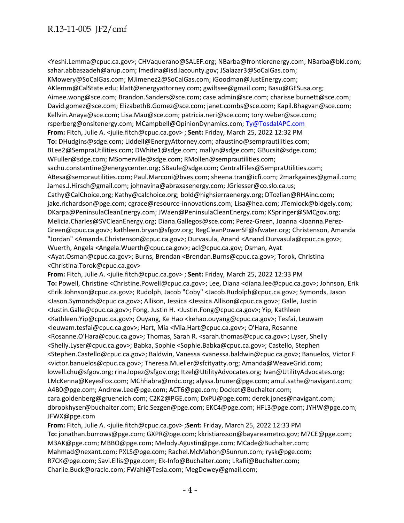<Yeshi.Lemma@cpuc.ca.gov>; CHVaquerano@SALEF.org; NBarba@frontierenergy.com; NBarba@bki.com; sahar.abbaszadeh@arup.com; lmedina@isd.lacounty.gov; JSalazar3@SoCalGas.com; KMowery@SoCalGas.com; MJimenez2@SoCalGas.com; iGoodman@JustEnergy.com; AKlemm@CalState.edu; klatt@energyattorney.com; gwiltsee@gmail.com; Basu@GESusa.org; Aimee.wong@sce.com; Brandon.Sanders@sce.com; case.admin@sce.com; charisse.burnett@sce.com; David.gomez@sce.com; ElizabethB.Gomez@sce.com; janet.combs@sce.com; Kapil.Bhagvan@sce.com; Kellvin.Anaya@sce.com; Lisa.Mau@sce.com; patricia.neri@sce.com; tory.weber@sce.com; rsperberg@onsitenergy.com; MCampbell@OpinionDynamics.com; [Ty@TosdalAPC.com](mailto:Ty@TosdalAPC.com) **From:** Fitch, Julie A. <julie.fitch@cpuc.ca.gov> ; **Sent:** Friday, March 25, 2022 12:32 PM **To:** DHudgins@sdge.com; Liddell@EnergyAttorney.com; afaustino@semprautilities.com; BLee2@SempraUtilities.com; DWhite1@sdge.com; mallyn@sdge.com; GBucsit@sdge.com; WFuller@sdge.com; MSomerville@sdge.com; RMollen@semprautilities.com; sachu.constantine@energycenter.org; SBaule@sdge.com; CentralFiles@SempraUtilities.com; ABesa@semprautilities.com; Paul.Marconi@bves.com; sheena.tran@icfi.com; 2markgaines@gmail.com; James.J.Hirsch@gmail.com; johnavina@abraxasenergy.com; JGriesser@co.slo.ca.us; Cathy@CalChoice.org; Kathy@calchoice.org; bold@highsierraenergy.org; DTozlian@RHAinc.com; jake.richardson@pge.com; cgrace@resource-innovations.com; Lisa@hea.com; JTemlock@bidgely.com; DKarpa@PeninsulaCleanEnergy.com; JWaen@PeninsulaCleanEnergy.com; KSpringer@SMCgov.org; Melicia.Charles@SVCleanEnergy.org; Diana.Gallegos@sce.com; Perez-Green, Joanna <Joanna.Perez-Green@cpuc.ca.gov>; kathleen.bryan@sfgov.org; RegCleanPowerSF@sfwater.org; Christenson, Amanda "Jordan" <Amanda.Christenson@cpuc.ca.gov>; Durvasula, Anand <Anand.Durvasula@cpuc.ca.gov>; Wuerth, Angela <Angela.Wuerth@cpuc.ca.gov>; acl@cpuc.ca.gov; Osman, Ayat <Ayat.Osman@cpuc.ca.gov>; Burns, Brendan <Brendan.Burns@cpuc.ca.gov>; Torok, Christina <Christina.Torok@cpuc.ca.gov> **From:** Fitch, Julie A. <julie.fitch@cpuc.ca.gov> ; **Sent:** Friday, March 25, 2022 12:33 PM **To:** Powell, Christine <Christine.Powell@cpuc.ca.gov>; Lee, Diana <diana.lee@cpuc.ca.gov>; Johnson, Erik <Erik.Johnson@cpuc.ca.gov>; Rudolph, Jacob "Coby" <Jacob.Rudolph@cpuc.ca.gov>; Symonds, Jason <Jason.Symonds@cpuc.ca.gov>; Allison, Jessica <Jessica.Allison@cpuc.ca.gov>; Galle, Justin <Justin.Galle@cpuc.ca.gov>; Fong, Justin H. <Justin.Fong@cpuc.ca.gov>; Yip, Kathleen <Kathleen.Yip@cpuc.ca.gov>; Ouyang, Ke Hao <kehao.ouyang@cpuc.ca.gov>; Tesfai, Leuwam <leuwam.tesfai@cpuc.ca.gov>; Hart, Mia <Mia.Hart@cpuc.ca.gov>; O'Hara, Rosanne <Rosanne.O'Hara@cpuc.ca.gov>; Thomas, Sarah R. <sarah.thomas@cpuc.ca.gov>; Lyser, Shelly <Shelly.Lyser@cpuc.ca.gov>; Babka, Sophie <Sophie.Babka@cpuc.ca.gov>; Castello, Stephen <Stephen.Castello@cpuc.ca.gov>; Baldwin, Vanessa <vanessa.baldwin@cpuc.ca.gov>; Banuelos, Victor F. <victor.banuelos@cpuc.ca.gov>; Theresa.Mueller@sfcityatty.org; Amanda@WeaveGrid.com; lowell.chu@sfgov.org; rina.lopez@sfgov.org; Itzel@UtilityAdvocates.org; Ivan@UtilityAdvocates.org; LMcKenna@KeyesFox.com; MChhabra@nrdc.org; alyssa.bruner@pge.com; amul.sathe@navigant.com; A4B0@pge.com; Andrew.Lee@pge.com; ACT6@pge.com; Docket@Buchalter.com;

cara.goldenberg@grueneich.com; C2K2@PGE.com; DxPU@pge.com; derek.jones@navigant.com; dbrookhyser@buchalter.com; Eric.Sezgen@pge.com; EKC4@pge.com; HFL3@pge.com; JYHW@pge.com; JFWX@pge.com

**From:** Fitch, Julie A. <julie.fitch@cpuc.ca.gov> ;**Sent:** Friday, March 25, 2022 12:33 PM **To:** jonathan.burrows@pge.com; GXPR@pge.com; kkristiansson@bayareametro.gov; M7CE@pge.com; M3AK@pge.com; MBBO@pge.com; Melody.Agustin@pge.com; MCade@Buchalter.com; Mahmad@nexant.com; PXLS@pge.com; Rachel.McMahon@Sunrun.com; rysk@pge.com; R7CK@pge.com; Savi.Ellis@pge.com; Ek-Info@Buchalter.com; LRafii@Buchalter.com; Charlie.Buck@oracle.com; FWahl@Tesla.com; MegDewey@gmail.com;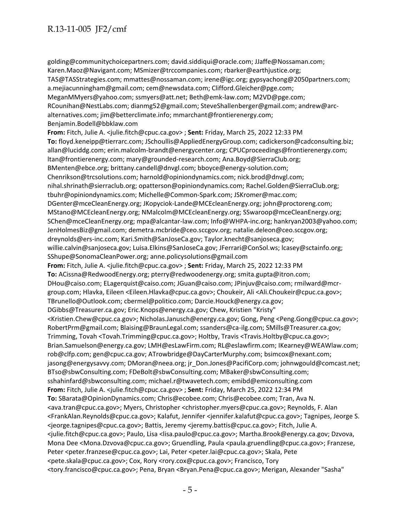golding@communitychoicepartners.com; david.siddiqui@oracle.com; JJaffe@Nossaman.com; Karen.Maoz@Navigant.com; MSmizer@trccompanies.com; rbarker@earthjustice.org; TAS@TASStrategies.com; mmattes@nossaman.com; irene@igc.org; gypsyachong@2050partners.com; a.mejiacunningham@gmail.com; cem@newsdata.com; Clifford.Gleicher@pge.com; MeganMMyers@yahoo.com; ssmyers@att.net; Beth@emk-law.com; M2VD@pge.com; RCounihan@NestLabs.com; dianmg52@gmail.com; SteveShallenberger@gmail.com; andrew@arcalternatives.com; jim@betterclimate.info; mmarchant@frontierenergy.com; Benjamin.Bodell@bbklaw.com **From:** Fitch, Julie A. <julie.fitch@cpuc.ca.gov> ; **Sent:** Friday, March 25, 2022 12:33 PM **To:** floyd.keneipp@tierrarc.com; JSchoullis@AppliedEnergyGroup.com; cadickerson@cadconsulting.biz; allan@luciddg.com; erin.malcolm-brandt@energycenter.org; CPUCproceedings@frontierenergy.com; ltan@frontierenergy.com; mary@grounded-research.com; Ana.Boyd@SierraClub.org; BMenten@ebce.org; brittany.candell@dnvgl.com; bboyce@energy-solution.com; Chenrikson@trcsolutions.com; harnold@opiniondynamics.com; nick.brod@dnvgl.com; nihal.shrinath@sierraclub.org; opatterson@opiniondynamics.com; Rachel.Golden@SierraClub.org; tbuhr@opiniondynamics.com; Michelle@Common-Spark.com; JSKromer@mac.com; DGenter@mceCleanEnergy.org; JKopyciok-Lande@MCEcleanEnergy.org; john@proctoreng.com; MStano@MCEcleanEnergy.org; NMalcolm@MCEcleanEnergy.org; SSwaroop@mceCleanEnergy.org; SChen@mceCleanEnergy.org; mpa@alcantar-law.com; Info@WHPA-inc.org; hankryan2003@yahoo.com; JenHolmesBiz@gmail.com; demetra.mcbride@ceo.sccgov.org; natalie.deleon@ceo.sccgov.org; dreynolds@ers-inc.com; Kari.Smith@SanJoseCa.gov; Taylor.knecht@sanjoseca.gov; willie.calvin@sanjoseca.gov; Luisa.Elkins@SanJoseCa.gov; JFerrari@ConSol.ws; lcasey@sctainfo.org; SShupe@SonomaCleanPower.org; anne.policysolutions@gmail.com **From:** Fitch, Julie A. <julie.fitch@cpuc.ca.gov> ; **Sent:** Friday, March 25, 2022 12:33 PM **To:** ACissna@RedwoodEnergy.org; pterry@redwoodenergy.org; smita.gupta@itron.com; DHou@caiso.com; ELagerquist@caiso.com; JGuan@caiso.com; JPinjuv@caiso.com; rmilward@mcrgroup.com; Hlavka, Eileen <Eileen.Hlavka@cpuc.ca.gov>; Choukeir, Ali <Ali.Choukeir@cpuc.ca.gov>; TBrunello@Outlook.com; cbermel@politico.com; Darcie.Houck@energy.ca.gov; DGibbs@Treasurer.ca.gov; Eric.Knops@energy.ca.gov; Chew, Kristien "Kristy" <Kristien.Chew@cpuc.ca.gov>; Nicholas.Janusch@energy.ca.gov; Gong, Peng <Peng.Gong@cpuc.ca.gov>; RobertPrm@gmail.com; Blaising@BraunLegal.com; ssanders@ca-ilg.com; SMills@Treasurer.ca.gov; Trimming, Tovah <Tovah.Trimming@cpuc.ca.gov>; Holtby, Travis <Travis.Holtby@cpuc.ca.gov>; Brian.Samuelson@energy.ca.gov; LMH@esLawFirm.com; RL@eslawfirm.com; IKearney@WEAWlaw.com; rob@clfp.com; gen@cpuc.ca.gov; ATrowbridge@DayCarterMurphy.com; bsimcox@nexant.com; jasong@energysavvy.com; DMoran@neea.org; jr\_Don.Jones@PacifiCorp.com; johnwgould@comcast.net; BTso@sbwConsulting.com; FDeBolt@sbwConsulting.com; MBaker@sbwConsulting.com; sshahinfard@sbwconsulting.com; michael.r@twavetech.com; emibd@emiconsulting.com **From:** Fitch, Julie A. <julie.fitch@cpuc.ca.gov> ; **Sent:** Friday, March 25, 2022 12:34 PM **To:** SBarata@OpinionDynamics.com; Chris@ecobee.com; Chris@ecobee.com; Tran, Ava N. <ava.tran@cpuc.ca.gov>; Myers, Christopher <christopher.myers@cpuc.ca.gov>; Reynolds, F. Alan <FrankAlan.Reynolds@cpuc.ca.gov>; Kalafut, Jennifer <jennifer.kalafut@cpuc.ca.gov>; Tagnipes, Jeorge S. <jeorge.tagnipes@cpuc.ca.gov>; Battis, Jeremy <jeremy.battis@cpuc.ca.gov>; Fitch, Julie A. <julie.fitch@cpuc.ca.gov>; Paulo, Lisa <lisa.paulo@cpuc.ca.gov>; Martha.Brook@energy.ca.gov; Dzvova, Mona Dee <Mona.Dzvova@cpuc.ca.gov>; Gruendling, Paula <paula.gruendling@cpuc.ca.gov>; Franzese, Peter <peter.franzese@cpuc.ca.gov>; Lai, Peter <peter.lai@cpuc.ca.gov>; Skala, Pete <pete.skala@cpuc.ca.gov>; Cox, Rory <rory.cox@cpuc.ca.gov>; Francisco, Tory <tory.francisco@cpuc.ca.gov>; Pena, Bryan <Bryan.Pena@cpuc.ca.gov>; Merigan, Alexander "Sasha"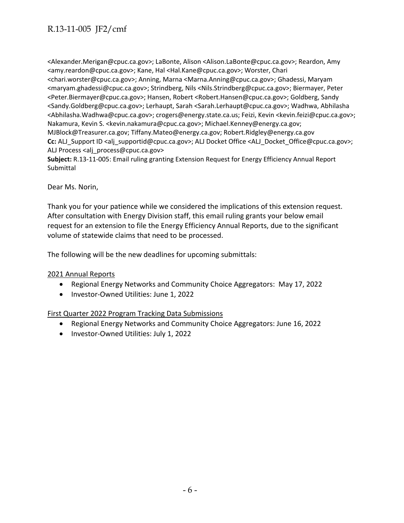<Alexander.Merigan@cpuc.ca.gov>; LaBonte, Alison <Alison.LaBonte@cpuc.ca.gov>; Reardon, Amy <amy.reardon@cpuc.ca.gov>; Kane, Hal <Hal.Kane@cpuc.ca.gov>; Worster, Chari <chari.worster@cpuc.ca.gov>; Anning, Marna <Marna.Anning@cpuc.ca.gov>; Ghadessi, Maryam <maryam.ghadessi@cpuc.ca.gov>; Strindberg, Nils <Nils.Strindberg@cpuc.ca.gov>; Biermayer, Peter <Peter.Biermayer@cpuc.ca.gov>; Hansen, Robert <Robert.Hansen@cpuc.ca.gov>; Goldberg, Sandy <Sandy.Goldberg@cpuc.ca.gov>; Lerhaupt, Sarah <Sarah.Lerhaupt@cpuc.ca.gov>; Wadhwa, Abhilasha <Abhilasha.Wadhwa@cpuc.ca.gov>; crogers@energy.state.ca.us; Feizi, Kevin <kevin.feizi@cpuc.ca.gov>; Nakamura, Kevin S. <kevin.nakamura@cpuc.ca.gov>; Michael.Kenney@energy.ca.gov; MJBlock@Treasurer.ca.gov; Tiffany.Mateo@energy.ca.gov; Robert.Ridgley@energy.ca.gov **Cc:** ALJ\_Support ID <alj\_supportid@cpuc.ca.gov>; ALJ Docket Office <ALJ\_Docket\_Office@cpuc.ca.gov>; ALJ Process <alj\_process@cpuc.ca.gov>

**Subject:** R.13-11-005: Email ruling granting Extension Request for Energy Efficiency Annual Report Submittal

Dear Ms. Norin,

Thank you for your patience while we considered the implications of this extension request. After consultation with Energy Division staff, this email ruling grants your below email request for an extension to file the Energy Efficiency Annual Reports, due to the significant volume of statewide claims that need to be processed.

The following will be the new deadlines for upcoming submittals:

#### 2021 Annual Reports

- Regional Energy Networks and Community Choice Aggregators: May 17, 2022
- Investor-Owned Utilities: June 1, 2022

#### First Quarter 2022 Program Tracking Data Submissions

- Regional Energy Networks and Community Choice Aggregators: June 16, 2022
- Investor-Owned Utilities: July 1, 2022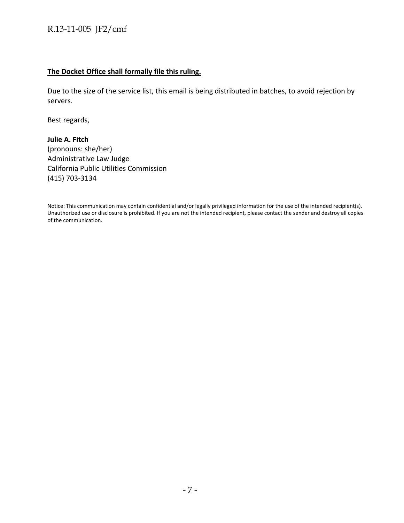#### **The Docket Office shall formally file this ruling.**

Due to the size of the service list, this email is being distributed in batches, to avoid rejection by servers.

Best regards,

**Julie A. Fitch**  (pronouns: she/her) Administrative Law Judge California Public Utilities Commission (415) 703-3134

Notice: This communication may contain confidential and/or legally privileged information for the use of the intended recipient(s). Unauthorized use or disclosure is prohibited. If you are not the intended recipient, please contact the sender and destroy all copies of the communication.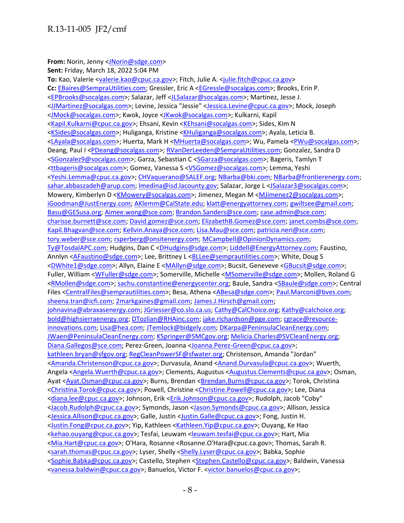**From:** Norin, Jenny [<JNorin@sdge.com>](mailto:JNorin@sdge.com)

**Sent:** Friday, March 18, 2022 5:04 PM To: Kao, Valerie [<valerie.kao@cpuc.ca.gov>](mailto:valerie.kao@cpuc.ca.gov); Fitch, Julie A. [<julie.fitch@cpuc.ca.gov>](mailto:julie.fitch@cpuc.ca.gov) **Cc:** [EBaires@SempraUtilities.com;](mailto:EBaires@SempraUtilities.com) Gressler, Eric A [<EGressle@socalgas.com>](mailto:EGressle@socalgas.com); Brooks, Erin P. [<EPBrooks@socalgas.com>](mailto:EPBrooks@socalgas.com); Salazar, Jeff [<JLSalazar@socalgas.com>](mailto:JLSalazar@socalgas.com); Martinez, Jesse J. [<JJMartinez@socalgas.com>](mailto:JJMartinez@socalgas.com); Levine, Jessica "Jessie" [<Jessica.Levine@cpuc.ca.gov>](mailto:Jessica.Levine@cpuc.ca.gov); Mock, Joseph [<JMock@socalgas.com>](mailto:JMock@socalgas.com); Kwok, Joyce [<JKwok@socalgas.com>](mailto:JKwok@socalgas.com); Kulkarni, Kapil [<Kapil.Kulkarni@cpuc.ca.gov>](mailto:Kapil.Kulkarni@cpuc.ca.gov); Ehsani, Kevin [<KEhsani@socalgas.com>](mailto:KEhsani@socalgas.com); Sides, Kim N [<KSides@socalgas.com>](mailto:KSides@socalgas.com); Huliganga, Kristine [<KHuliganga@socalgas.com>](mailto:KHuliganga@socalgas.com); Ayala, Leticia B. [<LAyala@socalgas.com>](mailto:LAyala@socalgas.com); Huerta, Mark H [<MHuerta@socalgas.com>](mailto:MHuerta@socalgas.com); Wu, Pamela [<PWu@socalgas.com>](mailto:PWu@socalgas.com); Deang, Paul I [<PDeang@socalgas.com>](mailto:PDeang@socalgas.com); [RVanDerLeeden@SempraUtilities.com;](mailto:RVanDerLeeden@SempraUtilities.com) Gonzalez, Sandra D [<SGonzalez9@socalgas.com>](mailto:SGonzalez9@socalgas.com); Garza, Sebastian C [<SGarza@socalgas.com>](mailto:SGarza@socalgas.com); Bageris, Tamlyn T [<ttbageris@socalgas.com>](mailto:ttbageris@socalgas.com); Gomez, Vanessa S [<VSGomez@socalgas.com>](mailto:VSGomez@socalgas.com); Lemma, Yeshi [<Yeshi.Lemma@cpuc.ca.gov>](mailto:Yeshi.Lemma@cpuc.ca.gov)[; CHVaquerano@SALEF.org;](mailto:CHVaquerano@SALEF.org) [NBarba@bki.com;](mailto:NBarba@bki.com) [NBarba@frontierenergy.com;](mailto:NBarba@frontierenergy.com) [sahar.abbaszadeh@arup.com;](mailto:sahar.abbaszadeh@arup.com) [lmedina@isd.lacounty.gov;](mailto:lmedina@isd.lacounty.gov) Salazar, Jorge L [<JSalazar3@socalgas.com>](mailto:JSalazar3@socalgas.com); Mowery, Kimberlyn D [<KMowery@socalgas.com>](mailto:KMowery@socalgas.com); Jimenez, Megan M [<MJimenez2@socalgas.com>](mailto:MJimenez2@socalgas.com); [iGoodman@JustEnergy.com;](mailto:iGoodman@JustEnergy.com) [AKlemm@CalState.edu;](mailto:AKlemm@CalState.edu) [klatt@energyattorney.com;](mailto:klatt@energyattorney.com) [gwiltsee@gmail.com;](mailto:gwiltsee@gmail.com) [Basu@GESusa.org;](mailto:Basu@GESusa.org) [Aimee.wong@sce.com;](mailto:Aimee.wong@sce.com) [Brandon.Sanders@sce.com;](mailto:Brandon.Sanders@sce.com) [case.admin@sce.com;](mailto:case.admin@sce.com) [charisse.burnett@sce.com;](mailto:charisse.burnett@sce.com) [David.gomez@sce.com;](mailto:David.gomez@sce.com) [ElizabethB.Gomez@sce.com;](mailto:ElizabethB.Gomez@sce.com) [janet.combs@sce.com;](mailto:janet.combs@sce.com) [Kapil.Bhagvan@sce.com;](mailto:Kapil.Bhagvan@sce.com) [Kellvin.Anaya@sce.com;](mailto:Kellvin.Anaya@sce.com) [Lisa.Mau@sce.com;](mailto:Lisa.Mau@sce.com) [patricia.neri@sce.com;](mailto:patricia.neri@sce.com) [tory.weber@sce.com;](mailto:tory.weber@sce.com) [rsperberg@onsitenergy.com;](mailto:rsperberg@onsitenergy.com) [MCampbell@OpinionDynamics.com;](mailto:MCampbell@OpinionDynamics.com) [Ty@TosdalAPC.com;](mailto:Ty@TosdalAPC.com) Hudgins, Dan C [<DHudgins@sdge.com>](mailto:DHudgins@sdge.com)[; Liddell@EnergyAttorney.com;](mailto:Liddell@EnergyAttorney.com) Faustino, Annlyn [<AFaustino@sdge.com>](mailto:AFaustino@sdge.com); Lee, Brittney L [<BLLee@semprautilities.com>](mailto:BLLee@semprautilities.com); White, Doug S [<DWhite1@sdge.com>](mailto:DWhite1@sdge.com); Allyn, Elaine E [<MAllyn@sdge.com>](mailto:MAllyn@sdge.com); Bucsit, Geneveve [<GBucsit@sdge.com>](mailto:GBucsit@sdge.com); Fuller, William [<WFuller@sdge.com>](mailto:WFuller@sdge.com); Somerville, Michelle [<MSomerville@sdge.com>](mailto:MSomerville@sdge.com); Mollen, Roland G [<RMollen@sdge.com>](mailto:RMollen@sdge.com); [sachu.constantine@energycenter.org;](mailto:sachu.constantine@energycenter.org) Baule, Sandra [<SBaule@sdge.com>](mailto:SBaule@sdge.com); Central Files [<CentralFiles@semprautilities.com>](mailto:CentralFiles@semprautilities.com); Besa, Athena [<ABesa@sdge.com>](mailto:ABesa@sdge.com); [Paul.Marconi@bves.com;](mailto:Paul.Marconi@bves.com) [sheena.tran@icfi.com;](mailto:sheena.tran@icfi.com) [2markgaines@gmail.com;](mailto:2markgaines@gmail.com) [James.J.Hirsch@gmail.com;](mailto:James.J.Hirsch@gmail.com) [johnavina@abraxasenergy.com;](mailto:johnavina@abraxasenergy.com) [JGriesser@co.slo.ca.us;](mailto:JGriesser@co.slo.ca.us) [Cathy@CalChoice.org;](mailto:Cathy@CalChoice.org) [Kathy@calchoice.org;](mailto:Kathy@calchoice.org) [bold@highsierraenergy.org;](mailto:bold@highsierraenergy.org) [DTozlian@RHAinc.com;](mailto:DTozlian@RHAinc.com) [jake.richardson@pge.com;](mailto:jake.richardson@pge.com) [cgrace@resource](mailto:cgrace@resource-innovations.com)[innovations.com;](mailto:cgrace@resource-innovations.com) [Lisa@hea.com;](mailto:Lisa@hea.com) [JTemlock@bidgely.com;](mailto:JTemlock@bidgely.com) [DKarpa@PeninsulaCleanEnergy.com;](mailto:DKarpa@PeninsulaCleanEnergy.com) [JWaen@PeninsulaCleanEnergy.com;](mailto:JWaen@PeninsulaCleanEnergy.com) [KSpringer@SMCgov.org;](mailto:KSpringer@SMCgov.org) [Melicia.Charles@SVCleanEnergy.org;](mailto:Melicia.Charles@SVCleanEnergy.org) [Diana.Gallegos@sce.com;](mailto:Diana.Gallegos@sce.com) Perez-Green, Joanna [<Joanna.Perez-Green@cpuc.ca.gov>](mailto:Joanna.Perez-Green@cpuc.ca.gov); [kathleen.bryan@sfgov.org;](mailto:kathleen.bryan@sfgov.org) [RegCleanPowerSF@sfwater.org;](mailto:RegCleanPowerSF@sfwater.org) Christenson, Amanda "Jordan" [<Amanda.Christenson@cpuc.ca.gov>](mailto:Amanda.Christenson@cpuc.ca.gov); Durvasula, Anand [<Anand.Durvasula@cpuc.ca.gov>](mailto:Anand.Durvasula@cpuc.ca.gov); Wuerth, Angela [<Angela.Wuerth@cpuc.ca.gov>](mailto:Angela.Wuerth@cpuc.ca.gov); Clements, Augustus [<Augustus.Clements@cpuc.ca.gov>](mailto:Augustus.Clements@cpuc.ca.gov); Osman, Ayat [<Ayat.Osman@cpuc.ca.gov>](mailto:Ayat.Osman@cpuc.ca.gov); Burns, Brendan [<Brendan.Burns@cpuc.ca.gov>](mailto:Brendan.Burns@cpuc.ca.gov); Torok, Christina [<Christina.Torok@cpuc.ca.gov>](mailto:Christina.Torok@cpuc.ca.gov); Powell, Christine [<Christine.Powell@cpuc.ca.gov>](mailto:Christine.Powell@cpuc.ca.gov); Lee, Diana [<diana.lee@cpuc.ca.gov>](mailto:diana.lee@cpuc.ca.gov); Johnson, Erik [<Erik.Johnson@cpuc.ca.gov>](mailto:Erik.Johnson@cpuc.ca.gov); Rudolph, Jacob "Coby" [<Jacob.Rudolph@cpuc.ca.gov>](mailto:Jacob.Rudolph@cpuc.ca.gov); Symonds, Jason [<Jason.Symonds@cpuc.ca.gov>](mailto:Jason.Symonds@cpuc.ca.gov); Allison, Jessica [<Jessica.Allison@cpuc.ca.gov>](mailto:Jessica.Allison@cpuc.ca.gov); Galle, Justin [<Justin.Galle@cpuc.ca.gov>](mailto:Justin.Galle@cpuc.ca.gov); Fong, Justin H. [<Justin.Fong@cpuc.ca.gov>](mailto:Justin.Fong@cpuc.ca.gov); Yip, Kathleen [<Kathleen.Yip@cpuc.ca.gov>](mailto:Kathleen.Yip@cpuc.ca.gov); Ouyang, Ke Hao [<kehao.ouyang@cpuc.ca.gov>](mailto:kehao.ouyang@cpuc.ca.gov); Tesfai, Leuwam [<leuwam.tesfai@cpuc.ca.gov>](mailto:leuwam.tesfai@cpuc.ca.gov); Hart, Mia [<Mia.Hart@cpuc.ca.gov>](mailto:Mia.Hart@cpuc.ca.gov); O'Hara, Rosanne <Rosanne.O'Hara@cpuc.ca.gov>; Thomas, Sarah R. [<sarah.thomas@cpuc.ca.gov>](mailto:sarah.thomas@cpuc.ca.gov); Lyser, Shelly [<Shelly.Lyser@cpuc.ca.gov>](mailto:Shelly.Lyser@cpuc.ca.gov); Babka, Sophie [<Sophie.Babka@cpuc.ca.gov>](mailto:Sophie.Babka@cpuc.ca.gov); Castello, Stephen [<Stephen.Castello@cpuc.ca.gov>](mailto:Stephen.Castello@cpuc.ca.gov); Baldwin, Vanessa [<vanessa.baldwin@cpuc.ca.gov>](mailto:vanessa.baldwin@cpuc.ca.gov); Banuelos, Victor F. [<victor.banuelos@cpuc.ca.gov>](mailto:victor.banuelos@cpuc.ca.gov);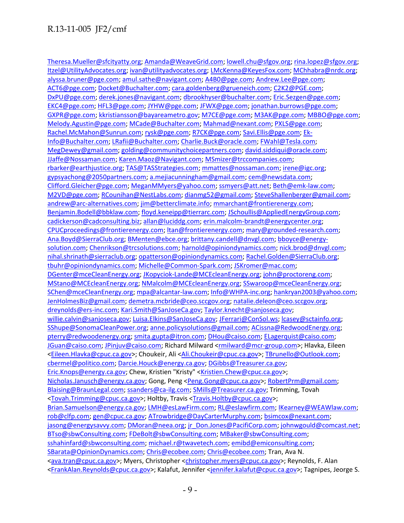[Theresa.Mueller@sfcityatty.org;](mailto:Theresa.Mueller@sfcityatty.org) [Amanda@WeaveGrid.com;](mailto:Amanda@WeaveGrid.com) [lowell.chu@sfgov.org;](mailto:lowell.chu@sfgov.org) [rina.lopez@sfgov.org;](mailto:rina.lopez@sfgov.org) [Itzel@UtilityAdvocates.org;](mailto:Itzel@UtilityAdvocates.org) [ivan@utilityadvocates.org;](mailto:ivan@utilityadvocates.org) [LMcKenna@KeyesFox.com;](mailto:LMcKenna@KeyesFox.com) [MChhabra@nrdc.org;](mailto:MChhabra@nrdc.org) [alyssa.bruner@pge.com;](mailto:alyssa.bruner@pge.com) [amul.sathe@navigant.com;](mailto:amul.sathe@navigant.com) [A4B0@pge.com;](mailto:A4B0@pge.com) [Andrew.Lee@pge.com;](mailto:Andrew.Lee@pge.com) [ACT6@pge.com;](mailto:ACT6@pge.com) [Docket@Buchalter.com;](mailto:Docket@Buchalter.com) [cara.goldenberg@grueneich.com;](mailto:cara.goldenberg@grueneich.com) [C2K2@PGE.com;](mailto:C2K2@PGE.com) [DxPU@pge.com;](mailto:DxPU@pge.com) [derek.jones@navigant.com;](mailto:derek.jones@navigant.com) [dbrookhyser@buchalter.com;](mailto:dbrookhyser@buchalter.com) [Eric.Sezgen@pge.com;](mailto:Eric.Sezgen@pge.com) [EKC4@pge.com;](mailto:EKC4@pge.com) [HFL3@pge.com;](mailto:HFL3@pge.com) [JYHW@pge.com;](mailto:JYHW@pge.com) [JFWX@pge.com;](mailto:JFWX@pge.com) [jonathan.burrows@pge.com;](mailto:jonathan.burrows@pge.com) [GXPR@pge.com;](mailto:GXPR@pge.com) [kkristiansson@bayareametro.gov;](mailto:kkristiansson@bayareametro.gov) [M7CE@pge.com;](mailto:M7CE@pge.com) [M3AK@pge.com;](mailto:M3AK@pge.com) [MBBO@pge.com;](mailto:MBBO@pge.com) [Melody.Agustin@pge.com;](mailto:Melody.Agustin@pge.com) [MCade@Buchalter.com;](mailto:MCade@Buchalter.com) [Mahmad@nexant.com;](mailto:Mahmad@nexant.com) [PXLS@pge.com;](mailto:PXLS@pge.com) [Rachel.McMahon@Sunrun.com;](mailto:Rachel.McMahon@Sunrun.com) [rysk@pge.com;](mailto:rysk@pge.com) [R7CK@pge.com;](mailto:R7CK@pge.com) [Savi.Ellis@pge.com;](mailto:Savi.Ellis@pge.com) [Ek-](mailto:Ek-Info@Buchalter.com)[Info@Buchalter.com;](mailto:Ek-Info@Buchalter.com) [LRafii@Buchalter.com;](mailto:LRafii@Buchalter.com) [Charlie.Buck@oracle.com;](mailto:Charlie.Buck@oracle.com) [FWahl@Tesla.com;](mailto:FWahl@Tesla.com) [MegDewey@gmail.com;](mailto:MegDewey@gmail.com) [golding@communitychoicepartners.com;](mailto:golding@communitychoicepartners.com) [david.siddiqui@oracle.com;](mailto:david.siddiqui@oracle.com) [JJaffe@Nossaman.com;](mailto:JJaffe@Nossaman.com) [Karen.Maoz@Navigant.com;](mailto:Karen.Maoz@Navigant.com) [MSmizer@trccompanies.com;](mailto:MSmizer@trccompanies.com) [rbarker@earthjustice.org;](mailto:rbarker@earthjustice.org) [TAS@TASStrategies.com;](mailto:TAS@TASStrategies.com) [mmattes@nossaman.com;](mailto:mmattes@nossaman.com) [irene@igc.org;](mailto:irene@igc.org) [gypsyachong@2050partners.com;](mailto:gypsyachong@2050partners.com) [a.mejiacunningham@gmail.com;](mailto:a.mejiacunningham@gmail.com) [cem@newsdata.com;](mailto:cem@newsdata.com) [Clifford.Gleicher@pge.com;](mailto:Clifford.Gleicher@pge.com) [MeganMMyers@yahoo.com;](mailto:MeganMMyers@yahoo.com) [ssmyers@att.net;](mailto:ssmyers@att.net) [Beth@emk-law.com;](mailto:Beth@emk-law.com) [M2VD@pge.com;](mailto:M2VD@pge.com) [RCounihan@NestLabs.com;](mailto:RCounihan@NestLabs.com) [dianmg52@gmail.com;](mailto:dianmg52@gmail.com) [SteveShallenberger@gmail.com;](mailto:SteveShallenberger@gmail.com) [andrew@arc-alternatives.com;](mailto:andrew@arc-alternatives.com) [jim@betterclimate.info;](mailto:jim@betterclimate.info) [mmarchant@frontierenergy.com;](mailto:mmarchant@frontierenergy.com) [Benjamin.Bodell@bbklaw.com;](mailto:Benjamin.Bodell@bbklaw.com) [floyd.keneipp@tierrarc.com;](mailto:floyd.keneipp@tierrarc.com) [JSchoullis@AppliedEnergyGroup.com;](mailto:JSchoullis@AppliedEnergyGroup.com) [cadickerson@cadconsulting.biz;](mailto:cadickerson@cadconsulting.biz) [allan@luciddg.com;](mailto:allan@luciddg.com) [erin.malcolm-brandt@energycenter.org;](mailto:erin.malcolm-brandt@energycenter.org) [CPUCproceedings@frontierenergy.com;](mailto:CPUCproceedings@frontierenergy.com) [ltan@frontierenergy.com;](mailto:ltan@frontierenergy.com) [mary@grounded-research.com;](mailto:mary@grounded-research.com) [Ana.Boyd@SierraClub.org;](mailto:Ana.Boyd@SierraClub.org) [BMenten@ebce.org;](mailto:BMenten@ebce.org) [brittany.candell@dnvgl.com;](mailto:brittany.candell@dnvgl.com) [bboyce@energy](mailto:bboyce@energy-solution.com)[solution.com;](mailto:bboyce@energy-solution.com) [Chenrikson@trcsolutions.com;](mailto:Chenrikson@trcsolutions.com) [harnold@opiniondynamics.com;](mailto:harnold@opiniondynamics.com) [nick.brod@dnvgl.com;](mailto:nick.brod@dnvgl.com) [nihal.shrinath@sierraclub.org;](mailto:nihal.shrinath@sierraclub.org) [opatterson@opiniondynamics.com;](mailto:opatterson@opiniondynamics.com) [Rachel.Golden@SierraClub.org;](mailto:Rachel.Golden@SierraClub.org) [tbuhr@opiniondynamics.com;](mailto:tbuhr@opiniondynamics.com) [Michelle@Common-Spark.com;](mailto:Michelle@Common-Spark.com) [JSKromer@mac.com;](mailto:JSKromer@mac.com) [DGenter@mceCleanEnergy.org;](mailto:DGenter@mceCleanEnergy.org) [JKopyciok-Lande@MCEcleanEnergy.org;](mailto:JKopyciok-Lande@MCEcleanEnergy.org) [john@proctoreng.com;](mailto:john@proctoreng.com) [MStano@MCEcleanEnergy.org;](mailto:MStano@MCEcleanEnergy.org) [NMalcolm@MCEcleanEnergy.org;](mailto:NMalcolm@MCEcleanEnergy.org) [SSwaroop@mceCleanEnergy.org;](mailto:SSwaroop@mceCleanEnergy.org) [SChen@mceCleanEnergy.org;](mailto:SChen@mceCleanEnergy.org) [mpa@alcantar-law.com;](mailto:mpa@alcantar-law.com) [Info@WHPA-inc.org;](mailto:Info@WHPA-inc.org) [hankryan2003@yahoo.com;](mailto:hankryan2003@yahoo.com) [JenHolmesBiz@gmail.com;](mailto:JenHolmesBiz@gmail.com) [demetra.mcbride@ceo.sccgov.org;](mailto:demetra.mcbride@ceo.sccgov.org) [natalie.deleon@ceo.sccgov.org;](mailto:natalie.deleon@ceo.sccgov.org) [dreynolds@ers-inc.com;](mailto:dreynolds@ers-inc.com) [Kari.Smith@SanJoseCa.gov;](mailto:Kari.Smith@SanJoseCa.gov) [Taylor.knecht@sanjoseca.gov;](mailto:Taylor.knecht@sanjoseca.gov) [willie.calvin@sanjoseca.gov;](mailto:willie.calvin@sanjoseca.gov) [Luisa.Elkins@SanJoseCa.gov;](mailto:Luisa.Elkins@SanJoseCa.gov) [JFerrari@ConSol.ws;](mailto:JFerrari@ConSol.ws) [lcasey@sctainfo.org;](mailto:lcasey@sctainfo.org) [SShupe@SonomaCleanPower.org;](mailto:SShupe@SonomaCleanPower.org) [anne.policysolutions@gmail.com;](mailto:anne.policysolutions@gmail.com) [ACissna@RedwoodEnergy.org;](mailto:ACissna@RedwoodEnergy.org) [pterry@redwoodenergy.org;](mailto:pterry@redwoodenergy.org) [smita.gupta@itron.com;](mailto:smita.gupta@itron.com) [DHou@caiso.com;](mailto:DHou@caiso.com) [ELagerquist@caiso.com;](mailto:ELagerquist@caiso.com) [JGuan@caiso.com;](mailto:JGuan@caiso.com) [JPinjuv@caiso.com;](mailto:JPinjuv@caiso.com) Richard Milward [<rmilward@mcr-group.com>](mailto:rmilward@mcr-group.com); Hlavka, Eileen [<Eileen.Hlavka@cpuc.ca.gov>](mailto:Eileen.Hlavka@cpuc.ca.gov); Choukeir, Ali [<Ali.Choukeir@cpuc.ca.gov>](mailto:Ali.Choukeir@cpuc.ca.gov); [TBrunello@Outlook.com;](mailto:TBrunello@Outlook.com) [cbermel@politico.com;](mailto:cbermel@politico.com) [Darcie.Houck@energy.ca.gov;](mailto:Darcie.Houck@energy.ca.gov) [DGibbs@Treasurer.ca.gov;](mailto:DGibbs@Treasurer.ca.gov) [Eric.Knops@energy.ca.gov;](mailto:Eric.Knops@energy.ca.gov) Chew, Kristien "Kristy" [<Kristien.Chew@cpuc.ca.gov>](mailto:Kristien.Chew@cpuc.ca.gov); [Nicholas.Janusch@energy.ca.gov;](mailto:Nicholas.Janusch@energy.ca.gov) Gong, Peng [<Peng.Gong@cpuc.ca.gov>](mailto:Peng.Gong@cpuc.ca.gov); [RobertPrm@gmail.com;](mailto:RobertPrm@gmail.com) [Blaising@BraunLegal.com;](mailto:Blaising@BraunLegal.com) [ssanders@ca-ilg.com;](mailto:ssanders@ca-ilg.com) [SMills@Treasurer.ca.gov;](mailto:SMills@Treasurer.ca.gov) Trimming, Tovah [<Tovah.Trimming@cpuc.ca.gov>](mailto:Tovah.Trimming@cpuc.ca.gov); Holtby, Travis [<Travis.Holtby@cpuc.ca.gov>](mailto:Travis.Holtby@cpuc.ca.gov); [Brian.Samuelson@energy.ca.gov;](mailto:Brian.Samuelson@energy.ca.gov) [LMH@esLawFirm.com;](mailto:LMH@esLawFirm.com) [RL@eslawfirm.com;](mailto:RL@eslawfirm.com) [IKearney@WEAWlaw.com;](mailto:IKearney@WEAWlaw.com) [rob@clfp.com;](mailto:rob@clfp.com) [gen@cpuc.ca.gov;](mailto:gen@cpuc.ca.gov) [ATrowbridge@DayCarterMurphy.com;](mailto:ATrowbridge@DayCarterMurphy.com) [bsimcox@nexant.com;](mailto:bsimcox@nexant.com) [jasong@energysavvy.com;](mailto:jasong@energysavvy.com) [DMoran@neea.org;](mailto:DMoran@neea.org) [jr\\_Don.Jones@PacifiCorp.com;](mailto:jr_Don.Jones@PacifiCorp.com) [johnwgould@comcast.net;](mailto:johnwgould@comcast.net) [BTso@sbwConsulting.com;](mailto:BTso@sbwConsulting.com) [FDeBolt@sbwConsulting.com;](mailto:FDeBolt@sbwConsulting.com) [MBaker@sbwConsulting.com;](mailto:MBaker@sbwConsulting.com) [sshahinfard@sbwconsulting.com;](mailto:sshahinfard@sbwconsulting.com) [michael.r@twavetech.com;](mailto:michael.r@twavetech.com) [emibd@emiconsulting.com;](mailto:emibd@emiconsulting.com) [SBarata@OpinionDynamics.com;](mailto:SBarata@OpinionDynamics.com) [Chris@ecobee.com; Chris@ecobee.com;](mailto:Chris@ecobee.com) Tran, Ava N. [<ava.tran@cpuc.ca.gov>](mailto:ava.tran@cpuc.ca.gov); Myers, Christopher [<christopher.myers@cpuc.ca.gov>](mailto:christopher.myers@cpuc.ca.gov); Reynolds, F. Alan [<FrankAlan.Reynolds@cpuc.ca.gov>](mailto:FrankAlan.Reynolds@cpuc.ca.gov); Kalafut, Jennifer [<jennifer.kalafut@cpuc.ca.gov>](mailto:jennifer.kalafut@cpuc.ca.gov); Tagnipes, Jeorge S.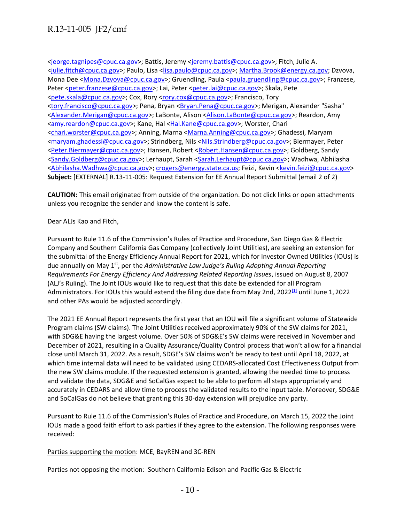[<jeorge.tagnipes@cpuc.ca.gov>](mailto:jeorge.tagnipes@cpuc.ca.gov); Battis, Jeremy [<jeremy.battis@cpuc.ca.gov>](mailto:jeremy.battis@cpuc.ca.gov); Fitch, Julie A. [<julie.fitch@cpuc.ca.gov>](mailto:julie.fitch@cpuc.ca.gov); Paulo, Lisa [<lisa.paulo@cpuc.ca.gov>](mailto:lisa.paulo@cpuc.ca.gov); [Martha.Brook@energy.ca.gov;](mailto:Martha.Brook@energy.ca.gov) Dzvova, Mona Dee [<Mona.Dzvova@cpuc.ca.gov>](mailto:Mona.Dzvova@cpuc.ca.gov); Gruendling, Paula [<paula.gruendling@cpuc.ca.gov>](mailto:paula.gruendling@cpuc.ca.gov); Franzese, Peter [<peter.franzese@cpuc.ca.gov>](mailto:peter.franzese@cpuc.ca.gov); Lai, Peter [<peter.lai@cpuc.ca.gov>](mailto:peter.lai@cpuc.ca.gov); Skala, Pete [<pete.skala@cpuc.ca.gov>](mailto:pete.skala@cpuc.ca.gov); Cox, Rory [<rory.cox@cpuc.ca.gov>](mailto:rory.cox@cpuc.ca.gov); Francisco, Tory [<tory.francisco@cpuc.ca.gov>](mailto:tory.francisco@cpuc.ca.gov); Pena, Bryan [<Bryan.Pena@cpuc.ca.gov>](mailto:Bryan.Pena@cpuc.ca.gov); Merigan, Alexander "Sasha" [<Alexander.Merigan@cpuc.ca.gov>](mailto:Alexander.Merigan@cpuc.ca.gov); LaBonte, Alison [<Alison.LaBonte@cpuc.ca.gov>](mailto:Alison.LaBonte@cpuc.ca.gov); Reardon, Amy [<amy.reardon@cpuc.ca.gov>](mailto:amy.reardon@cpuc.ca.gov); Kane, Hal [<Hal.Kane@cpuc.ca.gov>](mailto:Hal.Kane@cpuc.ca.gov); Worster, Chari [<chari.worster@cpuc.ca.gov>](mailto:chari.worster@cpuc.ca.gov); Anning, Marna [<Marna.Anning@cpuc.ca.gov>](mailto:Marna.Anning@cpuc.ca.gov); Ghadessi, Maryam [<maryam.ghadessi@cpuc.ca.gov>](mailto:maryam.ghadessi@cpuc.ca.gov); Strindberg, Nils [<Nils.Strindberg@cpuc.ca.gov>](mailto:Nils.Strindberg@cpuc.ca.gov); Biermayer, Peter [<Peter.Biermayer@cpuc.ca.gov>](mailto:Peter.Biermayer@cpuc.ca.gov); Hansen, Robert [<Robert.Hansen@cpuc.ca.gov>](mailto:Robert.Hansen@cpuc.ca.gov); Goldberg, Sandy [<Sandy.Goldberg@cpuc.ca.gov>](mailto:Sandy.Goldberg@cpuc.ca.gov); Lerhaupt, Sarah [<Sarah.Lerhaupt@cpuc.ca.gov>](mailto:Sarah.Lerhaupt@cpuc.ca.gov); Wadhwa, Abhilasha [<Abhilasha.Wadhwa@cpuc.ca.gov>](mailto:Abhilasha.Wadhwa@cpuc.ca.gov)[; crogers@energy.state.ca.us;](mailto:crogers@energy.state.ca.us) Feizi, Kevin [<kevin.feizi@cpuc.ca.gov>](mailto:kevin.feizi@cpuc.ca.gov) **Subject:** [EXTERNAL] R.13-11-005: Request Extension for EE Annual Report Submittal (email 2 of 2)

**CAUTION:** This email originated from outside of the organization. Do not click links or open attachments unless you recognize the sender and know the content is safe.

Dear ALJs Kao and Fitch,

Pursuant to Rule 11.6 of the Commission's Rules of Practice and Procedure, San Diego Gas & Electric Company and Southern California Gas Company (collectively Joint Utilities), are seeking an extension for the submittal of the Energy Efficiency Annual Report for 2021, which for Investor Owned Utilities (IOUs) is due annually on May 1<sup>st</sup>, per the *Administrative Law Judge's Ruling Adopting Annual Reporting Requirements For Energy Efficiency And Addressing Related Reporting Issues*, issued on August 8, 2007 (ALJ's Ruling). The Joint IOUs would like to request that this date be extended for all Program Administrators. For IOUs this would extend the filing due date from May 2nd, 2022<sup>[1]</sup> until June 1, 2022 and other PAs would be adjusted accordingly.

The 2021 EE Annual Report represents the first year that an IOU will file a significant volume of Statewide Program claims (SW claims). The Joint Utilities received approximately 90% of the SW claims for 2021, with SDG&E having the largest volume. Over 50% of SDG&E's SW claims were received in November and December of 2021, resulting in a Quality Assurance/Quality Control process that won't allow for a financial close until March 31, 2022. As a result, SDGE's SW claims won't be ready to test until April 18, 2022, at which time internal data will need to be validated using CEDARS-allocated Cost Effectiveness Output from the new SW claims module. If the requested extension is granted, allowing the needed time to process and validate the data, SDG&E and SoCalGas expect to be able to perform all steps appropriately and accurately in CEDARS and allow time to process the validated results to the input table. Moreover, SDG&E and SoCalGas do not believe that granting this 30-day extension will prejudice any party.

Pursuant to Rule 11.6 of the Commission's Rules of Practice and Procedure, on March 15, 2022 the Joint IOUs made a good faith effort to ask parties if they agree to the extension. The following responses were received:

Parties supporting the motion: MCE, BayREN and 3C-REN

Parties not opposing the motion: Southern California Edison and Pacific Gas & Electric